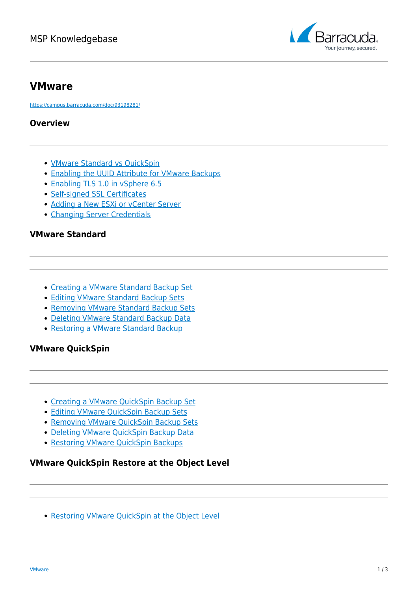

## **VMware**

<https://campus.barracuda.com/doc/93198281/>

#### **Overview**

- [VMware Standard vs QuickSpin](http://campus.barracuda.com/doc/93198308/)
- [Enabling the UUID Attribute for VMware Backups](http://campus.barracuda.com/doc/93198303/)
- [Enabling TLS 1.0 in vSphere 6.5](http://campus.barracuda.com/doc/93198305/)
- [Self-signed SSL Certificates](http://campus.barracuda.com/doc/96016090/)
- [Adding a New ESXi or vCenter Server](http://campus.barracuda.com/doc/96016101/)
- [Changing Server Credentials](http://campus.barracuda.com/doc/96016097/)

### **VMware Standard**

- [Creating a VMware Standard Backup Set](http://campus.barracuda.com/doc/93198287/)
- [Editing VMware Standard Backup Sets](http://campus.barracuda.com/doc/96016280/)
- [Removing VMware Standard Backup Sets](http://campus.barracuda.com/doc/96016283/)
- [Deleting VMware Standard Backup Data](http://campus.barracuda.com/doc/96016286/)
- [Restoring a VMware Standard Backup](http://campus.barracuda.com/doc/93198319/)

## **VMware QuickSpin**

- [Creating a VMware QuickSpin Backup Set](http://campus.barracuda.com/doc/93198283/)
- [Editing VMware](http://campus.barracuda.com/doc/96016280/) [QuickSpin](http://campus.barracuda.com/doc/93198283/) [Backup Sets](http://campus.barracuda.com/doc/96016280/)
- [Removing VMware](http://campus.barracuda.com/doc/96016283/) OuickSpin [Backup Sets](http://campus.barracuda.com/doc/96016283/)
- [Deleting VMware](http://campus.barracuda.com/doc/96016286/) [QuickSpin](http://campus.barracuda.com/doc/93198283/) [Backup Data](http://campus.barracuda.com/doc/96016286/)
- [Restoring VMware QuickSpin Backups](http://campus.barracuda.com/doc/93198317/)

### **VMware QuickSpin Restore at the Object Level**

• Restoring VMware OuickSpin at the Object Level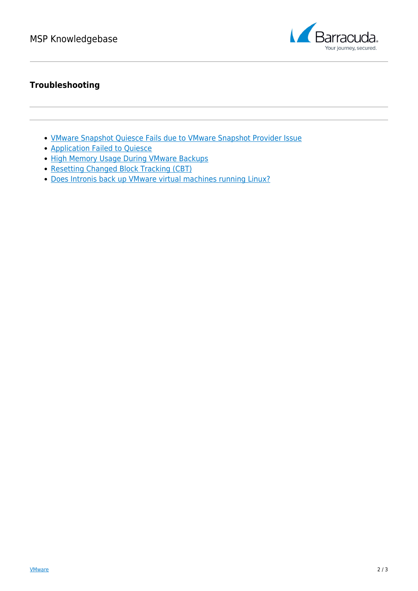

## **Troubleshooting**

- [VMware Snapshot Quiesce Fails due to VMware Snapshot Provider Issue](http://campus.barracuda.com/doc/96015967/)
- **[Application Failed to Quiesce](http://campus.barracuda.com/doc/93198324/)**
- [High Memory Usage During VMware Backups](http://campus.barracuda.com/doc/93198328/)
- [Resetting Changed Block Tracking \(CBT\)](http://campus.barracuda.com/doc/93198330/)
- [Does Intronis back up VMware virtual machines running Linux?](http://campus.barracuda.com/doc/93198313/)